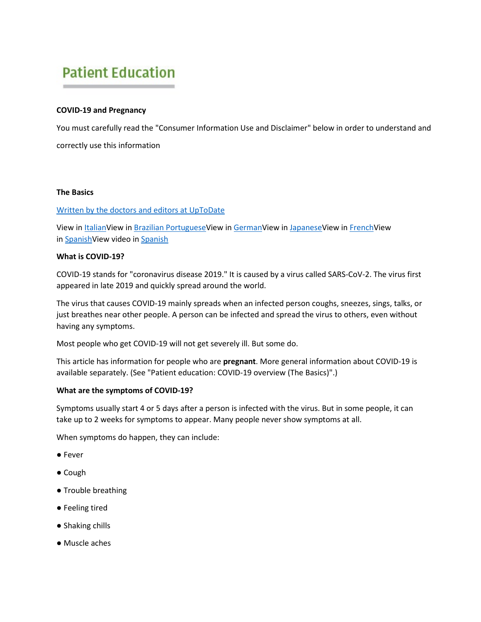# **Patient Education**

# **COVID-19 and Pregnancy**

You must carefully read the "Consumer Information Use and Disclaimer" below in order to understand and correctly use this information

#### **The Basics**

# [Written by the doctors and editors at UpToDate](https://online.lexi.com/lco/action/search/globalid/520831)

View in [ItalianV](https://www.uptodate.com/contents/1127774)iew in [Brazilian PortugueseV](https://www.uptodate.com/contents/1127773)iew in [GermanV](https://www.uptodate.com/contents/1127775)iew in [JapaneseV](https://www.uptodate.com/contents/1127776)iew in [FrenchV](https://www.uptodate.com/contents/1127765)iew in [SpanishV](https://www.uptodate.com/contents/es-419/127758)iew video in [Spanish](https://ce-vid.wolterskluwer.com/watch/YZSSHDQCK9aMNnNhpVvHyJ)

#### **What is COVID-19?**

COVID-19 stands for "coronavirus disease 2019." It is caused by a virus called SARS-CoV-2. The virus first appeared in late 2019 and quickly spread around the world.

The virus that causes COVID-19 mainly spreads when an infected person coughs, sneezes, sings, talks, or just breathes near other people. A person can be infected and spread the virus to others, even without having any symptoms.

Most people who get COVID-19 will not get severely ill. But some do.

This article has information for people who are **pregnant**. More general information about COVID-19 is available separately. (See "Patient education: COVID-19 overview (The Basics)".)

# **What are the symptoms of COVID-19?**

Symptoms usually start 4 or 5 days after a person is infected with the virus. But in some people, it can take up to 2 weeks for symptoms to appear. Many people never show symptoms at all.

When symptoms do happen, they can include:

- Fever
- Cough
- Trouble breathing
- Feeling tired
- Shaking chills
- Muscle aches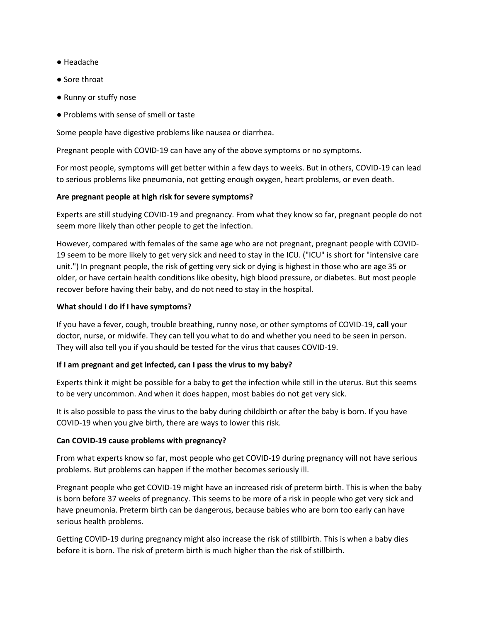- Headache
- Sore throat
- Runny or stuffy nose
- Problems with sense of smell or taste

Some people have digestive problems like nausea or diarrhea.

Pregnant people with COVID-19 can have any of the above symptoms or no symptoms.

For most people, symptoms will get better within a few days to weeks. But in others, COVID-19 can lead to serious problems like pneumonia, not getting enough oxygen, heart problems, or even death.

# **Are pregnant people at high risk for severe symptoms?**

Experts are still studying COVID-19 and pregnancy. From what they know so far, pregnant people do not seem more likely than other people to get the infection.

However, compared with females of the same age who are not pregnant, pregnant people with COVID-19 seem to be more likely to get very sick and need to stay in the ICU. ("ICU" is short for "intensive care unit.") In pregnant people, the risk of getting very sick or dying is highest in those who are age 35 or older, or have certain health conditions like obesity, high blood pressure, or diabetes. But most people recover before having their baby, and do not need to stay in the hospital.

# **What should I do if I have symptoms?**

If you have a fever, cough, trouble breathing, runny nose, or other symptoms of COVID-19, **call** your doctor, nurse, or midwife. They can tell you what to do and whether you need to be seen in person. They will also tell you if you should be tested for the virus that causes COVID-19.

# **If I am pregnant and get infected, can I pass the virus to my baby?**

Experts think it might be possible for a baby to get the infection while still in the uterus. But this seems to be very uncommon. And when it does happen, most babies do not get very sick.

It is also possible to pass the virus to the baby during childbirth or after the baby is born. If you have COVID-19 when you give birth, there are ways to lower this risk.

# **Can COVID-19 cause problems with pregnancy?**

From what experts know so far, most people who get COVID-19 during pregnancy will not have serious problems. But problems can happen if the mother becomes seriously ill.

Pregnant people who get COVID-19 might have an increased risk of preterm birth. This is when the baby is born before 37 weeks of pregnancy. This seems to be more of a risk in people who get very sick and have pneumonia. Preterm birth can be dangerous, because babies who are born too early can have serious health problems.

Getting COVID-19 during pregnancy might also increase the risk of stillbirth. This is when a baby dies before it is born. The risk of preterm birth is much higher than the risk of stillbirth.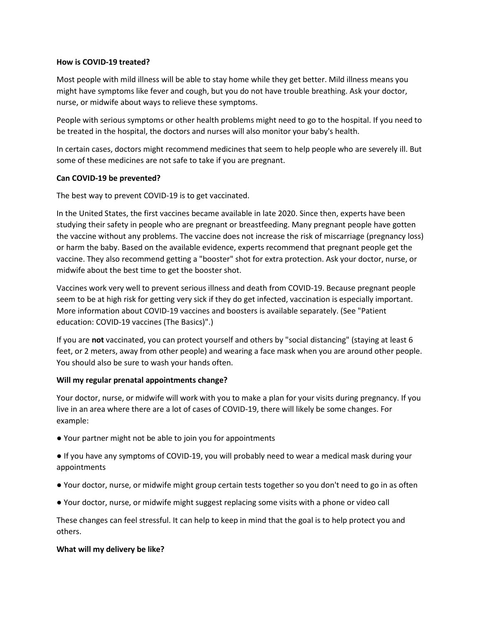#### **How is COVID-19 treated?**

Most people with mild illness will be able to stay home while they get better. Mild illness means you might have symptoms like fever and cough, but you do not have trouble breathing. Ask your doctor, nurse, or midwife about ways to relieve these symptoms.

People with serious symptoms or other health problems might need to go to the hospital. If you need to be treated in the hospital, the doctors and nurses will also monitor your baby's health.

In certain cases, doctors might recommend medicines that seem to help people who are severely ill. But some of these medicines are not safe to take if you are pregnant.

# **Can COVID-19 be prevented?**

The best way to prevent COVID-19 is to get vaccinated.

In the United States, the first vaccines became available in late 2020. Since then, experts have been studying their safety in people who are pregnant or breastfeeding. Many pregnant people have gotten the vaccine without any problems. The vaccine does not increase the risk of miscarriage (pregnancy loss) or harm the baby. Based on the available evidence, experts recommend that pregnant people get the vaccine. They also recommend getting a "booster" shot for extra protection. Ask your doctor, nurse, or midwife about the best time to get the booster shot.

Vaccines work very well to prevent serious illness and death from COVID-19. Because pregnant people seem to be at high risk for getting very sick if they do get infected, vaccination is especially important. More information about COVID-19 vaccines and boosters is available separately. (See "Patient education: COVID-19 vaccines (The Basics)".)

If you are **not** vaccinated, you can protect yourself and others by "social distancing" (staying at least 6 feet, or 2 meters, away from other people) and wearing a face mask when you are around other people. You should also be sure to wash your hands often.

# **Will my regular prenatal appointments change?**

Your doctor, nurse, or midwife will work with you to make a plan for your visits during pregnancy. If you live in an area where there are a lot of cases of COVID-19, there will likely be some changes. For example:

● Your partner might not be able to join you for appointments

● If you have any symptoms of COVID-19, you will probably need to wear a medical mask during your appointments

- Your doctor, nurse, or midwife might group certain tests together so you don't need to go in as often
- Your doctor, nurse, or midwife might suggest replacing some visits with a phone or video call

These changes can feel stressful. It can help to keep in mind that the goal is to help protect you and others.

#### **What will my delivery be like?**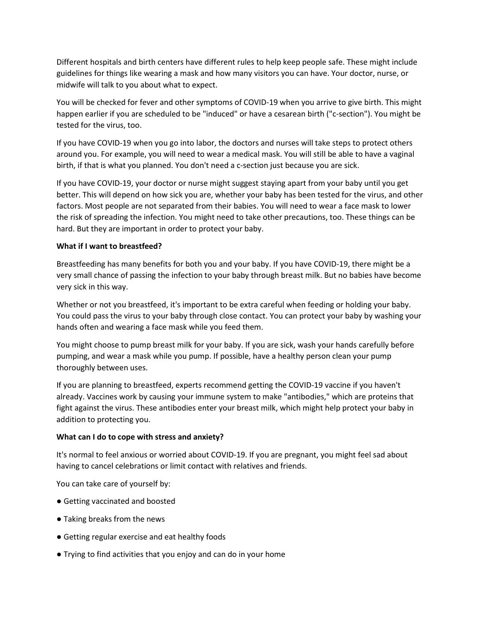Different hospitals and birth centers have different rules to help keep people safe. These might include guidelines for things like wearing a mask and how many visitors you can have. Your doctor, nurse, or midwife will talk to you about what to expect.

You will be checked for fever and other symptoms of COVID-19 when you arrive to give birth. This might happen earlier if you are scheduled to be "induced" or have a cesarean birth ("c-section"). You might be tested for the virus, too.

If you have COVID-19 when you go into labor, the doctors and nurses will take steps to protect others around you. For example, you will need to wear a medical mask. You will still be able to have a vaginal birth, if that is what you planned. You don't need a c-section just because you are sick.

If you have COVID-19, your doctor or nurse might suggest staying apart from your baby until you get better. This will depend on how sick you are, whether your baby has been tested for the virus, and other factors. Most people are not separated from their babies. You will need to wear a face mask to lower the risk of spreading the infection. You might need to take other precautions, too. These things can be hard. But they are important in order to protect your baby.

# **What if I want to breastfeed?**

Breastfeeding has many benefits for both you and your baby. If you have COVID-19, there might be a very small chance of passing the infection to your baby through breast milk. But no babies have become very sick in this way.

Whether or not you breastfeed, it's important to be extra careful when feeding or holding your baby. You could pass the virus to your baby through close contact. You can protect your baby by washing your hands often and wearing a face mask while you feed them.

You might choose to pump breast milk for your baby. If you are sick, wash your hands carefully before pumping, and wear a mask while you pump. If possible, have a healthy person clean your pump thoroughly between uses.

If you are planning to breastfeed, experts recommend getting the COVID-19 vaccine if you haven't already. Vaccines work by causing your immune system to make "antibodies," which are proteins that fight against the virus. These antibodies enter your breast milk, which might help protect your baby in addition to protecting you.

# **What can I do to cope with stress and anxiety?**

It's normal to feel anxious or worried about COVID-19. If you are pregnant, you might feel sad about having to cancel celebrations or limit contact with relatives and friends.

You can take care of yourself by:

- Getting vaccinated and boosted
- Taking breaks from the news
- Getting regular exercise and eat healthy foods
- Trying to find activities that you enjoy and can do in your home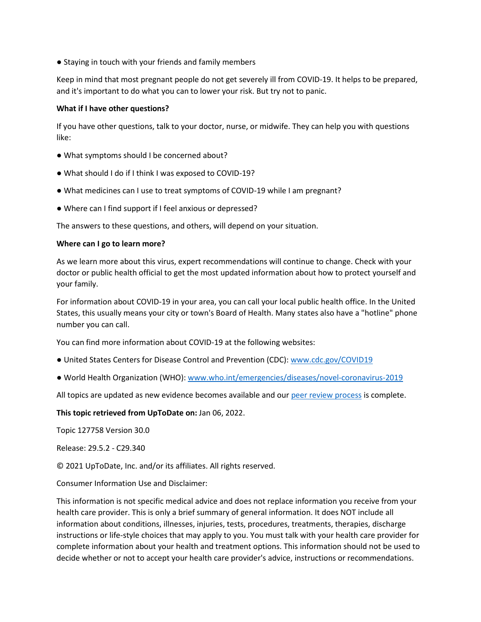● Staying in touch with your friends and family members

Keep in mind that most pregnant people do not get severely ill from COVID-19. It helps to be prepared, and it's important to do what you can to lower your risk. But try not to panic.

# **What if I have other questions?**

If you have other questions, talk to your doctor, nurse, or midwife. They can help you with questions like:

- What symptoms should I be concerned about?
- What should I do if I think I was exposed to COVID-19?
- What medicines can I use to treat symptoms of COVID-19 while I am pregnant?
- Where can I find support if I feel anxious or depressed?

The answers to these questions, and others, will depend on your situation.

#### **Where can I go to learn more?**

As we learn more about this virus, expert recommendations will continue to change. Check with your doctor or public health official to get the most updated information about how to protect yourself and your family.

For information about COVID-19 in your area, you can call your local public health office. In the United States, this usually means your city or town's Board of Health. Many states also have a "hotline" phone number you can call.

You can find more information about COVID-19 at the following websites:

- United States Centers for Disease Control and Prevention (CDC): [www.cdc.gov/COVID19](http://www.cdc.gov/COVID19)
- World Health Organization (WHO): [www.who.int/emergencies/diseases/novel-coronavirus-2019](http://www.who.int/emergencies/diseases/novel-coronavirus-2019)

All topics are updated as new evidence becomes available and our [peer review process](https://online.lexi.com/lco/action/search/globalid/520832) is complete.

# **This topic retrieved from UpToDate on:** Jan 06, 2022.

Topic 127758 Version 30.0

Release: 29.5.2 - C29.340

© 2021 UpToDate, Inc. and/or its affiliates. All rights reserved.

Consumer Information Use and Disclaimer:

This information is not specific medical advice and does not replace information you receive from your health care provider. This is only a brief summary of general information. It does NOT include all information about conditions, illnesses, injuries, tests, procedures, treatments, therapies, discharge instructions or life-style choices that may apply to you. You must talk with your health care provider for complete information about your health and treatment options. This information should not be used to decide whether or not to accept your health care provider's advice, instructions or recommendations.